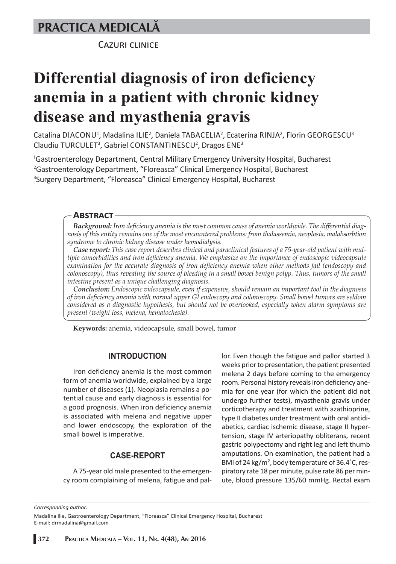# **PRACTICA MEDICALÅ**

CAZURI CLINICE

# **Differential diagnosis of iron deficiency anemia in a patient with chronic kidney disease and myasthenia gravis**

Catalina DIACONU<sup>1</sup>, Madalina ILIE<sup>2</sup>, Daniela TABACELIA<sup>2</sup>, Ecaterina RINJA<sup>2</sup>, Florin GEORGESCU<sup>3</sup> Claudiu TURCULET<sup>3</sup>, Gabriel CONSTANTINESCU<sup>2</sup>, Dragos ENE<sup>3</sup>

<sup>1</sup>Gastroenterology Department, Central Military Emergency University Hospital, Bucharest <sup>2</sup>Gastroenterology Department, "Floreasca" Clinical Emergency Hospital, Bucharest <sup>3</sup>Surgery Department, "Floreasca" Clinical Emergency Hospital, Bucharest

### **ABSTRACT**

*Background: Iron deficiency anemia is the most common cause of anemia worldwide. The differential diagnosis of this entity remains one of the most encountered problems: from thalassemia, neoplasia, malabsorbtion syndrome to chronic kidney disease under hemodialysis.*

*Case report: This case report describes clinical and paraclinical features of a 75-year-old patient with multiple comorbidities and iron deficiency anemia. We emphasize on the importance of endoscopic videocapsule examination for the accurate diagnosis of iron deficiency anemia when other methods fail (endoscopy and*  colonoscopy), thus revealing the source of bleeding in a small bowel benign polyp. Thus, tumors of the small *intestine present as a unique challenging diagnosis.*

*Conclusion: Endoscopic videocapsule, even if expensive, should remain an important tool in the diagnosis of iron deficiency anemia with normal upper GI endoscopy and colonoscopy. Small bowel tumors are seldom considered as a diagnostic hypothesis, but should not be overlooked, especially when alarm symptoms are present (weight loss, melena, hematochesia).*

**Keywords:** anemia, videocapsule, small bowel, tumor

# **INTRODUCTION**

Iron deficiency anemia is the most common form of anemia worldwide, explained by a large number of diseases (1). Neoplasia remains a potential cause and early diagnosis is essential for a good prognosis. When iron deficiency anemia is associated with melena and negative upper and lower endoscopy, the exploration of the small bowel is imperative.

# **CASE-REPORT**

A 75-year old male presented to the emergency room complaining of melena, fatigue and pallor. Even though the fatigue and pallor started 3 weeks prior to presentation, the patient presented melena 2 days before coming to the emergency room. Personal history reveals iron deficiency anemia for one year (for which the patient did not undergo further tests), myasthenia gravis under corticotherapy and treatment with azathioprine, type II diabetes under treatment with oral antidiabetics, cardiac ischemic disease, stage II hypertension, stage IV arteriopathy obliterans, recent gastric polypectomy and right leg and left thumb amputations. On examination, the patient had a BMI of 24 kg/m², body temperature of 36.4˚C, respiratory rate 18 per minute, pulse rate 86 per minute, blood pressure 135/60 mmHg. Rectal exam

*Corresponding author:* 

Madalina Ilie, Gastroenterology Department, "Floreasca" Clinical Emergency Hospital, Bucharest E-mail: drmadalina@gmail.com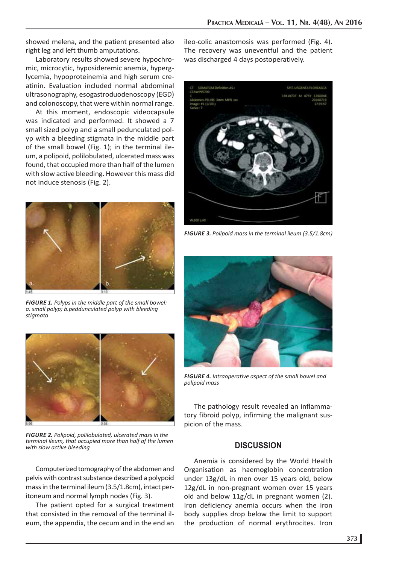showed melena, and the patient presented also right leg and left thumb amputations.

Laboratory results showed severe hypochromic, microcytic, hyposideremic anemia, hyperglycemia, hypoproteinemia and high serum creatinin. Evaluation included normal abdominal ultrasonography, esogastroduodenoscopy (EGD) and colonoscopy, that were within normal range.

At this moment, endoscopic videocapsule was indicated and performed. It showed a 7 small sized polyp and a small pedunculated polyp with a bleeding stigmata in the middle part of the small bowel (Fig. 1); in the terminal ileum, a polipoid, polilobulated, ulcerated mass was found, that occupied more than half of the lumen with slow active bleeding. However this mass did not induce stenosis (Fig. 2).



*FIGURE 1. Polyps in the middle part of the small bowel: a. small polyp; b.peddunculated polyp with bleeding stigmata*



*FIGURE 2. Polipoid, polilobulated, ulcerated mass in the terminal ileum, that occupied more than half of the lumen with slow active bleeding*

Computerized tomography of the abdomen and pelvis with contrast substance described a polypoid mass in the terminal ileum (3.5/1.8cm), intact peritoneum and normal lymph nodes (Fig. 3).

The patient opted for a surgical treatment that consisted in the removal of the terminal ileum, the appendix, the cecum and in the end an

ileo-colic anastomosis was performed (Fig. 4). The recovery was uneventful and the patient was discharged 4 days postoperatively.



*FIGURE 3. Polipoid mass in the terminal ileum (3.5/1.8cm)*



*FIGURE 4. Intraoperative aspect of the small bowel and polipoid mass*

The pathology result revealed an inflammatory fibroid polyp, infirming the malignant suspicion of the mass.

#### **DISCUSSION**

Anemia is considered by the World Health Organisation as haemoglobin concentration under 13g/dL in men over 15 years old, below 12g/dL in non-pregnant women over 15 years old and below 11g/dL in pregnant women (2). Iron deficiency anemia occurs when the iron body supplies drop below the limit to support the production of normal erythrocites. Iron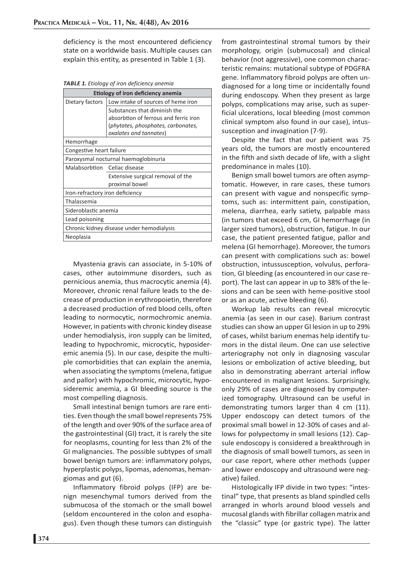deficiency is the most encountered deficiency state on a worldwide basis. Multiple causes can explain this entity, as presented in Table 1 (3).

*TABLE 1. Etiology of iron deficiency anemia*

| Etiology of iron deficiency anemia        |                                       |
|-------------------------------------------|---------------------------------------|
| Dietary factors                           | Low intake of sources of heme iron    |
|                                           | Substances that diminish the          |
|                                           | absorbtion of ferrous and ferric iron |
|                                           | (phytates, phosphates, carbonates,    |
|                                           | oxalates and tannates)                |
| Hemorrhage                                |                                       |
| Congestive heart failure                  |                                       |
| Paroxysmal nocturnal haemoglobinuria      |                                       |
| Malabsorbtion Celiac disease              |                                       |
|                                           | Extensive surgical removal of the     |
|                                           | proximal bowel                        |
| Iron-refractory iron deficiency           |                                       |
| Thalassemia                               |                                       |
| Sideroblastic anemia                      |                                       |
| Lead poisoning                            |                                       |
| Chronic kidney disease under hemodialysis |                                       |
| Neoplasia                                 |                                       |

Myastenia gravis can associate, in 5-10% of cases, other autoimmune disorders, such as pernicious anemia, thus macrocytic anemia (4). Moreover, chronic renal failure leads to the decrease of production in erythropoietin, therefore a decreased production of red blood cells, often leading to normocytic, normochromic anemia. However, in patients with chronic kindey disease under hemodialysis, iron supply can be limited, leading to hypochromic, microcytic, hyposideremic anemia (5). In our case, despite the multiple comorbidities that can explain the anemia, when associating the symptoms (melena, fatigue and pallor) with hypochromic, microcytic, hyposideremic anemia, a GI bleeding source is the most compelling diagnosis.

Small intestinal benign tumors are rare entities. Even though the small bowel represents 75% of the length and over 90% of the surface area of the gastrointestinal (GI) tract, it is rarely the site for neoplasms, counting for less than 2% of the GI malignancies. The possible subtypes of small bowel benign tumors are: inflammatory polyps, hyperplastic polyps, lipomas, adenomas, hemangiomas and gut (6).

Inflammatory fibroid polyps (IFP) are benign mesenchymal tumors derived from the submucosa of the stomach or the small bowel (seldom encountered in the colon and esophagus). Even though these tumors can distinguish

from gastrointestinal stromal tumors by their morphology, origin (submucosal) and clinical behavior (not aggressive), one common characteristic remains: mutational subtype of PDGFRA gene. Inflammatory fibroid polyps are often undiagnosed for a long time or incidentally found during endoscopy. When they present as large polyps, complications may arise, such as superficial ulcerations, local bleeding (most common clinical symptom also found in our case), intussusception and invagination (7-9).

Despite the fact that our patient was 75 years old, the tumors are mostly encountered in the fifth and sixth decade of life, with a slight predominance in males (10).

Benign small bowel tumors are often asymptomatic. However, in rare cases, these tumors can present with vague and nonspecific symptoms, such as: intermittent pain, constipation, melena, diarrhea, early satiety, palpable mass (in tumors that exceed 6 cm, GI hemorrhage (in larger sized tumors), obstruction, fatigue. In our case, the patient presented fatigue, pallor and melena (GI hemorrhage). Moreover, the tumors can present with complications such as: bowel obstruction, intussusception, volvulus, perforation, GI bleeding (as encountered in our case report). The last can appear in up to 38% of the lesions and can be seen with heme-positive stool or as an acute, active bleeding (6).

Workup lab results can reveal microcytic anemia (as seen in our case). Barium contrast studies can show an upper GI lesion in up to 29% of cases, whilst barium enemas help identify tumors in the distal ileum. One can use selective arteriography not only in diagnosing vascular lesions or embolization of active bleeding, but also in demonstrating aberrant arterial inflow encountered in malignant lesions. Surprisingly, only 29% of cases are diagnosed by computerized tomography. Ultrasound can be useful in demonstrating tumors larger than 4 cm (11). Upper endoscopy can detect tumors of the proximal small bowel in 12-30% of cases and allows for polypectomy in small lesions (12). Capsule endoscopy is considered a breakthrough in the diagnosis of small bowell tumors, as seen in our case report, where other methods (upper and lower endoscopy and ultrasound were negative) failed.

Histologically IFP divide in two types: "intestinal" type, that presents as bland spindled cells arranged in whorls around blood vessels and mucosal glands with fibrillar collagen matrix and the "classic" type (or gastric type). The latter